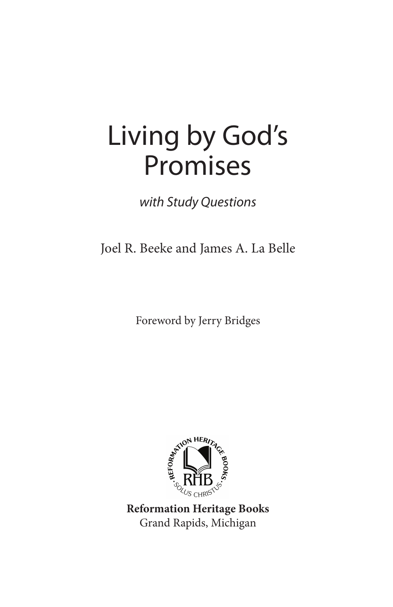# Living by God's Promises

with Study Questions

Joel R. Beeke and James A. La Belle

Foreword by Jerry Bridges



**Reformation Heritage Books** Grand Rapids, Michigan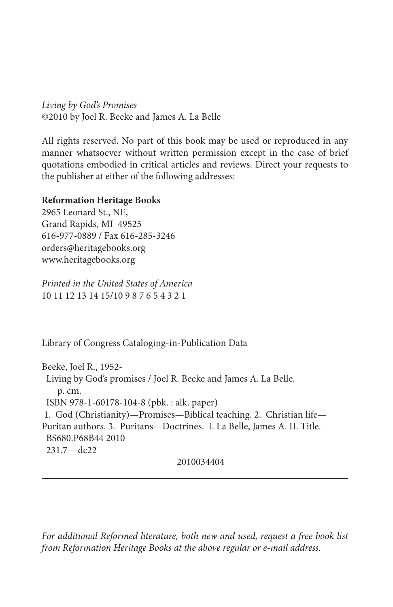Living by God's Promises ©2010 by Joel R. Beeke and James A. La Belle

All rights reserved. No part of this book may be used or reproduced in any manner whatsoever without written permission except in the case of brief quotations embodied in critical articles and reviews. Direct your requests to the publisher at either of the following addresses:

#### **Reformation Heritage Books**

2965 Leonard St., NE, Grand Rapids, MI 49525 616-977-0889 / Fax 616-285-3246 orders@heritagebooks.org www.heritagebooks.org

Printed in the United States of America 10 11 12 13 14 15/10 9 8 7 6 5 4 3 2 1

Library of Congress Cataloging-in-Publication Data

Beeke, Joel R., 1952- Living by God's promises / Joel R. Beeke and James A. La Belle. p. cm. ISBN 978-1-60178-104-8 (pbk. : alk. paper) 1. God (Christianity)—Promises—Biblical teaching. 2. Christian life— Puritan authors. 3. Puritans—Doctrines. I. La Belle, James A. II. Title. BS680.P68B44 2010 231.7—dc22

2010034404

For additional Reformed literature, both new and used, request a free book list from Reformation Heritage Books at the above regular or e-mail address.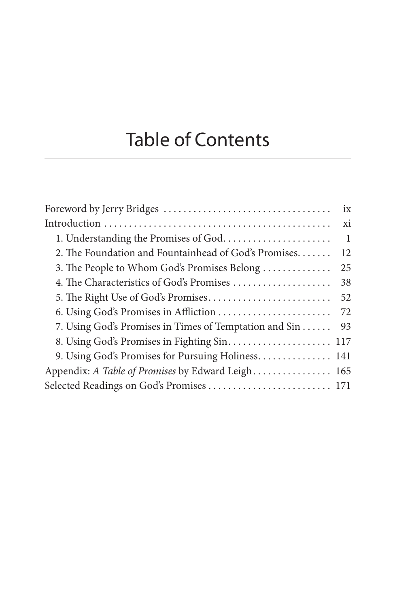## Table of Contents

|                                                        | ix |
|--------------------------------------------------------|----|
|                                                        | xi |
| 1. Understanding the Promises of God.                  | 1  |
| 2. The Foundation and Fountainhead of God's Promises.  | 12 |
| 3. The People to Whom God's Promises Belong            | 25 |
| 4. The Characteristics of God's Promises               | 38 |
|                                                        | 52 |
|                                                        | 72 |
| 7. Using God's Promises in Times of Temptation and Sin | 93 |
|                                                        |    |
| 9. Using God's Promises for Pursuing Holiness 141      |    |
| Appendix: A Table of Promises by Edward Leigh 165      |    |
| Selected Readings on God's Promises  171               |    |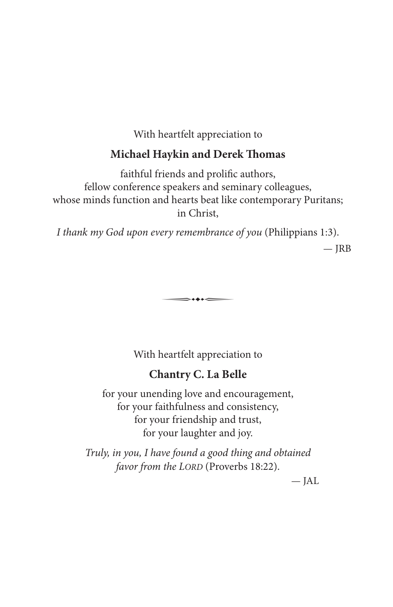With heartfelt appreciation to

#### **Michael Haykin and Derek Thomas**

faithful friends and prolific authors, fellow conference speakers and seminary colleagues, whose minds function and hearts beat like contemporary Puritans; in Christ,

I thank my God upon every remembrance of you (Philippians 1:3).

 $-IRB$ 

With heartfelt appreciation to

 $\Longrightarrow$ 

#### **Chantry C. La Belle**

for your unending love and encouragement, for your faithfulness and consistency, for your friendship and trust, for your laughter and joy.

Truly, in you, I have found a good thing and obtained favor from the LORD (Proverbs 18:22).

— JAL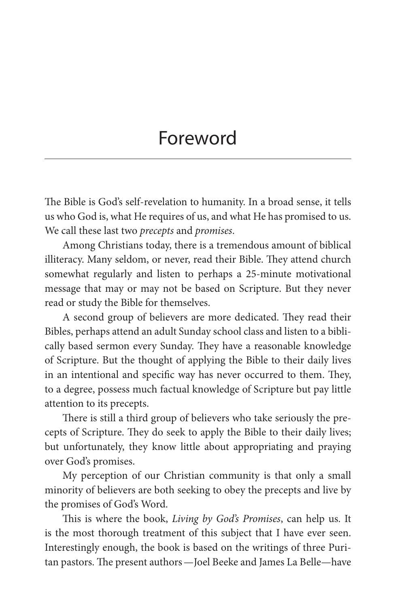## Foreword

The Bible is God's self-revelation to humanity. In a broad sense, it tells us who God is, what He requires of us, and what He has promised to us. We call these last two *precepts* and *promises*.

Among Christians today, there is a tremendous amount of biblical illiteracy. Many seldom, or never, read their Bible. They attend church somewhat regularly and listen to perhaps a 25-minute motivational message that may or may not be based on Scripture. But they never read or study the Bible for themselves.

A second group of believers are more dedicated. They read their Bibles, perhaps attend an adult Sunday school class and listen to a biblically based sermon every Sunday. They have a reasonable knowledge of Scripture. But the thought of applying the Bible to their daily lives in an intentional and specific way has never occurred to them. They, to a degree, possess much factual knowledge of Scripture but pay little attention to its precepts.

There is still a third group of believers who take seriously the precepts of Scripture. They do seek to apply the Bible to their daily lives; but unfortunately, they know little about appropriating and praying over God's promises.

My perception of our Christian community is that only a small minority of believers are both seeking to obey the precepts and live by the promises of God's Word.

This is where the book, Living by God's Promises, can help us. It is the most thorough treatment of this subject that I have ever seen. Interestingly enough, the book is based on the writings of three Puritan pastors. The present authors—Joel Beeke and James La Belle—have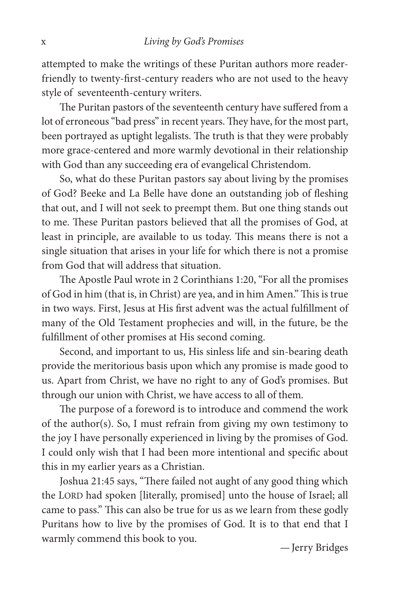attempted to make the writings of these Puritan authors more readerfriendly to twenty-first-century readers who are not used to the heavy style of seventeenth-century writers.

The Puritan pastors of the seventeenth century have suffered from a lot of erroneous "bad press" in recent years. They have, for the most part, been portrayed as uptight legalists. The truth is that they were probably more grace-centered and more warmly devotional in their relationship with God than any succeeding era of evangelical Christendom.

So, what do these Puritan pastors say about living by the promises of God? Beeke and La Belle have done an outstanding job of fleshing that out, and I will not seek to preempt them. But one thing stands out to me. These Puritan pastors believed that all the promises of God, at least in principle, are available to us today. This means there is not a single situation that arises in your life for which there is not a promise from God that will address that situation.

The Apostle Paul wrote in 2 Corinthians 1:20, "For all the promises of God in him (that is, in Christ) are yea, and in him Amen." This is true in two ways. First, Jesus at His first advent was the actual fulfillment of many of the Old Testament prophecies and will, in the future, be the fulfillment of other promises at His second coming.

Second, and important to us, His sinless life and sin-bearing death provide the meritorious basis upon which any promise is made good to us. Apart from Christ, we have no right to any of God's promises. But through our union with Christ, we have access to all of them.

The purpose of a foreword is to introduce and commend the work of the author(s). So, I must refrain from giving my own testimony to the joy I have personally experienced in living by the promises of God. I could only wish that I had been more intentional and specific about this in my earlier years as a Christian.

Joshua 21:45 says, "There failed not aught of any good thing which the LORD had spoken [literally, promised] unto the house of Israel; all came to pass." This can also be true for us as we learn from these godly Puritans how to live by the promises of God. It is to that end that I warmly commend this book to you. <br>— Jerry Bridges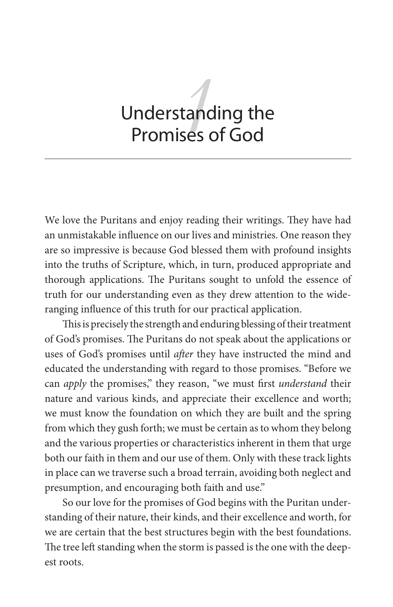# tandi<br>ses o Understanding the Promises of God

We love the Puritans and enjoy reading their writings. They have had an unmistakable influence on our lives and ministries. One reason they are so impressive is because God blessed them with profound insights into the truths of Scripture, which, in turn, produced appropriate and thorough applications. The Puritans sought to unfold the essence of truth for our understanding even as they drew attention to the wideranging influence of this truth for our practical application.

This is precisely the strength and enduring blessing of their treatment of God's promises. The Puritans do not speak about the applications or uses of God's promises until after they have instructed the mind and educated the understanding with regard to those promises. "Before we can *apply* the promises," they reason, "we must first *understand* their nature and various kinds, and appreciate their excellence and worth; we must know the foundation on which they are built and the spring from which they gush forth; we must be certain as to whom they belong and the various properties or characteristics inherent in them that urge both our faith in them and our use of them. Only with these track lights in place can we traverse such a broad terrain, avoiding both neglect and presumption, and encouraging both faith and use."

So our love for the promises of God begins with the Puritan understanding of their nature, their kinds, and their excellence and worth, for we are certain that the best structures begin with the best foundations. The tree left standing when the storm is passed is the one with the deepest roots.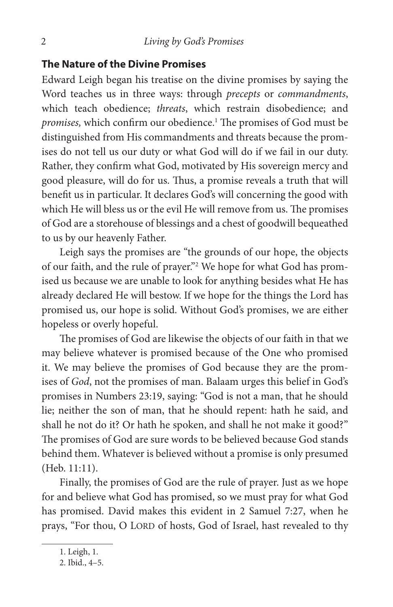#### **The Nature of the Divine Promises**

Edward Leigh began his treatise on the divine promises by saying the Word teaches us in three ways: through precepts or commandments, which teach obedience; threats, which restrain disobedience; and promises, which confirm our obedience.<sup>1</sup> The promises of God must be distinguished from His commandments and threats because the promises do not tell us our duty or what God will do if we fail in our duty. Rather, they confirm what God, motivated by His sovereign mercy and good pleasure, will do for us. Thus, a promise reveals a truth that will benefit us in particular. It declares God's will concerning the good with which He will bless us or the evil He will remove from us. The promises of God are a storehouse of blessings and a chest of goodwill bequeathed to us by our heavenly Father.

Leigh says the promises are "the grounds of our hope, the objects of our faith, and the rule of prayer."2 We hope for what God has promised us because we are unable to look for anything besides what He has already declared He will bestow. If we hope for the things the Lord has promised us, our hope is solid. Without God's promises, we are either hopeless or overly hopeful.

The promises of God are likewise the objects of our faith in that we may believe whatever is promised because of the One who promised it. We may believe the promises of God because they are the promises of God, not the promises of man. Balaam urges this belief in God's promises in Numbers 23:19, saying: "God is not a man, that he should lie; neither the son of man, that he should repent: hath he said, and shall he not do it? Or hath he spoken, and shall he not make it good?" The promises of God are sure words to be believed because God stands behind them. Whatever is believed without a promise is only presumed (Heb. 11:11).

Finally, the promises of God are the rule of prayer. Just as we hope for and believe what God has promised, so we must pray for what God has promised. David makes this evident in 2 Samuel 7:27, when he prays, "For thou, O LORD of hosts, God of Israel, hast revealed to thy

<sup>1.</sup> Leigh, 1.

<sup>2.</sup> Ibid., 4–5.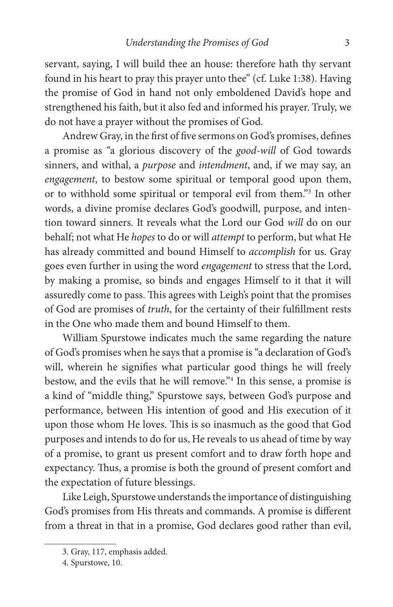servant, saying, I will build thee an house: therefore hath thy servant found in his heart to pray this prayer unto thee" (cf. Luke 1:38). Having the promise of God in hand not only emboldened David's hope and strengthened his faith, but it also fed and informed his prayer. Truly, we do not have a prayer without the promises of God.

Andrew Gray, in the first of five sermons on God's promises, defines a promise as "a glorious discovery of the good-will of God towards sinners, and withal, a purpose and intendment, and, if we may say, an engagement, to bestow some spiritual or temporal good upon them, or to withhold some spiritual or temporal evil from them."3 In other words, a divine promise declares God's goodwill, purpose, and intention toward sinners. It reveals what the Lord our God will do on our behalf; not what He hopes to do or will attempt to perform, but what He has already committed and bound Himself to accomplish for us. Gray goes even further in using the word engagement to stress that the Lord, by making a promise, so binds and engages Himself to it that it will assuredly come to pass. This agrees with Leigh's point that the promises of God are promises of truth, for the certainty of their fulfillment rests in the One who made them and bound Himself to them.

William Spurstowe indicates much the same regarding the nature of God's promises when he says that a promise is "a declaration of God's will, wherein he signifies what particular good things he will freely bestow, and the evils that he will remove."4 In this sense, a promise is a kind of "middle thing," Spurstowe says, between God's purpose and performance, between His intention of good and His execution of it upon those whom He loves. This is so inasmuch as the good that God purposes and intends to do for us, He reveals to us ahead of time by way of a promise, to grant us present comfort and to draw forth hope and expectancy. Thus, a promise is both the ground of present comfort and the expectation of future blessings.

Like Leigh, Spurstowe understands the importance of distinguishing God's promises from His threats and commands. A promise is different from a threat in that in a promise, God declares good rather than evil,

<sup>3.</sup> Gray, 117, emphasis added.

<sup>4.</sup> Spurstowe, 10.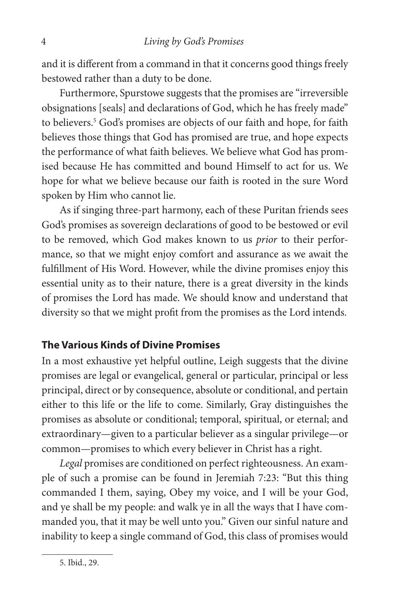and it is different from a command in that it concerns good things freely bestowed rather than a duty to be done.

Furthermore, Spurstowe suggests that the promises are "irreversible obsignations [seals] and declarations of God, which he has freely made" to believers.<sup>5</sup> God's promises are objects of our faith and hope, for faith believes those things that God has promised are true, and hope expects the performance of what faith believes. We believe what God has promised because He has committed and bound Himself to act for us. We hope for what we believe because our faith is rooted in the sure Word spoken by Him who cannot lie.

As if singing three-part harmony, each of these Puritan friends sees God's promises as sovereign declarations of good to be bestowed or evil to be removed, which God makes known to us prior to their performance, so that we might enjoy comfort and assurance as we await the fulfillment of His Word. However, while the divine promises enjoy this essential unity as to their nature, there is a great diversity in the kinds of promises the Lord has made. We should know and understand that diversity so that we might profit from the promises as the Lord intends.

#### **The Various Kinds of Divine Promises**

In a most exhaustive yet helpful outline, Leigh suggests that the divine promises are legal or evangelical, general or particular, principal or less principal, direct or by consequence, absolute or conditional, and pertain either to this life or the life to come. Similarly, Gray distinguishes the promises as absolute or conditional; temporal, spiritual, or eternal; and extraordinary—given to a particular believer as a singular privilege—or common—promises to which every believer in Christ has a right.

Legal promises are conditioned on perfect righteousness. An example of such a promise can be found in Jeremiah 7:23: "But this thing commanded I them, saying, Obey my voice, and I will be your God, and ye shall be my people: and walk ye in all the ways that I have commanded you, that it may be well unto you." Given our sinful nature and inability to keep a single command of God, this class of promises would

<sup>5.</sup> Ibid., 29.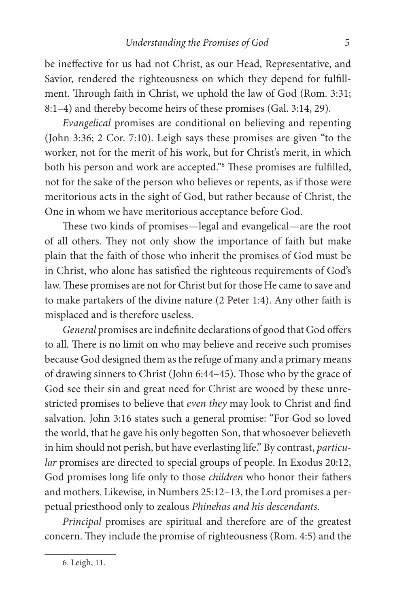be ineffective for us had not Christ, as our Head, Representative, and Savior, rendered the righteousness on which they depend for fulfillment. Through faith in Christ, we uphold the law of God (Rom. 3:31; 8:1–4) and thereby become heirs of these promises (Gal. 3:14, 29).

Evangelical promises are conditional on believing and repenting (John 3:36; 2 Cor. 7:10). Leigh says these promises are given "to the worker, not for the merit of his work, but for Christ's merit, in which both his person and work are accepted."<sup>6</sup> These promises are fulfilled, not for the sake of the person who believes or repents, as if those were meritorious acts in the sight of God, but rather because of Christ, the One in whom we have meritorious acceptance before God.

These two kinds of promises—legal and evangelical—are the root of all others. They not only show the importance of faith but make plain that the faith of those who inherit the promises of God must be in Christ, who alone has satisfied the righteous requirements of God's law. These promises are not for Christ but for those He came to save and to make partakers of the divine nature (2 Peter 1:4). Any other faith is misplaced and is therefore useless.

General promises are indefinite declarations of good that God offers to all. There is no limit on who may believe and receive such promises because God designed them as the refuge of many and a primary means of drawing sinners to Christ (John 6:44–45). Those who by the grace of God see their sin and great need for Christ are wooed by these unrestricted promises to believe that even they may look to Christ and find salvation. John 3:16 states such a general promise: "For God so loved the world, that he gave his only begotten Son, that whosoever believeth in him should not perish, but have everlasting life." By contrast, particular promises are directed to special groups of people. In Exodus 20:12, God promises long life only to those children who honor their fathers and mothers. Likewise, in Numbers 25:12–13, the Lord promises a perpetual priesthood only to zealous Phinehas and his descendants.

Principal promises are spiritual and therefore are of the greatest concern. They include the promise of righteousness (Rom. 4:5) and the

<sup>6.</sup> Leigh, 11.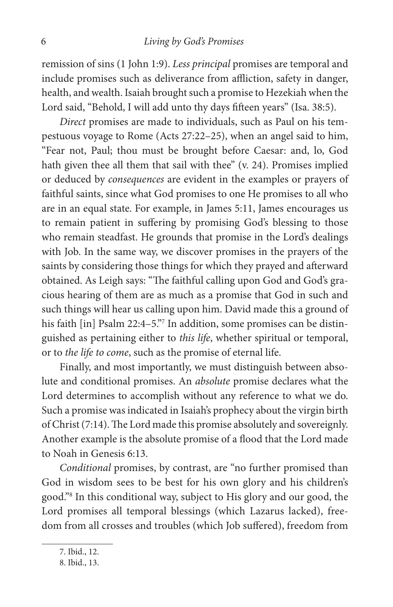remission of sins (1 John 1:9). Less principal promises are temporal and include promises such as deliverance from affliction, safety in danger, health, and wealth. Isaiah brought such a promise to Hezekiah when the Lord said, "Behold, I will add unto thy days fifteen years" (Isa. 38:5).

Direct promises are made to individuals, such as Paul on his tempestuous voyage to Rome (Acts 27:22–25), when an angel said to him, "Fear not, Paul; thou must be brought before Caesar: and, lo, God hath given thee all them that sail with thee" (v. 24). Promises implied or deduced by consequences are evident in the examples or prayers of faithful saints, since what God promises to one He promises to all who are in an equal state. For example, in James 5:11, James encourages us to remain patient in suffering by promising God's blessing to those who remain steadfast. He grounds that promise in the Lord's dealings with Job. In the same way, we discover promises in the prayers of the saints by considering those things for which they prayed and afterward obtained. As Leigh says: "The faithful calling upon God and God's gracious hearing of them are as much as a promise that God in such and such things will hear us calling upon him. David made this a ground of his faith [in] Psalm 22:4–5."7 In addition, some promises can be distinguished as pertaining either to this life, whether spiritual or temporal, or to the life to come, such as the promise of eternal life.

Finally, and most importantly, we must distinguish between absolute and conditional promises. An absolute promise declares what the Lord determines to accomplish without any reference to what we do. Such a promise was indicated in Isaiah's prophecy about the virgin birth of Christ (7:14). The Lord made this promise absolutely and sovereignly. Another example is the absolute promise of a flood that the Lord made to Noah in Genesis 6:13.

Conditional promises, by contrast, are "no further promised than God in wisdom sees to be best for his own glory and his children's good."8 In this conditional way, subject to His glory and our good, the Lord promises all temporal blessings (which Lazarus lacked), freedom from all crosses and troubles (which Job suffered), freedom from

<sup>7.</sup> Ibid., 12.

<sup>8.</sup> Ibid., 13.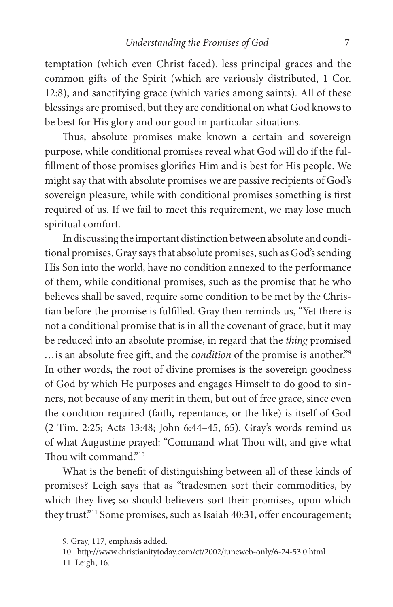temptation (which even Christ faced), less principal graces and the common gifts of the Spirit (which are variously distributed, 1 Cor. 12:8), and sanctifying grace (which varies among saints). All of these blessings are promised, but they are conditional on what God knows to be best for His glory and our good in particular situations.

Thus, absolute promises make known a certain and sovereign purpose, while conditional promises reveal what God will do if the ful fillment of those promises glorifies Him and is best for His people. We might say that with absolute promises we are passive recipients of God's sovereign pleasure, while with conditional promises something is first required of us. If we fail to meet this requirement, we may lose much spiritual comfort.

In discussing the important distinction between absolute and conditional promises, Gray says that absolute promises, such as God's sending His Son into the world, have no condition annexed to the performance of them, while conditional promises, such as the promise that he who believes shall be saved, require some condition to be met by the Christian before the promise is fulfilled. Gray then reminds us, "Yet there is not a conditional promise that is in all the covenant of grace, but it may be reduced into an absolute promise, in regard that the thing promised ... is an absolute free gift, and the *condition* of the promise is another."<sup>9</sup> In other words, the root of divine promises is the sovereign goodness of God by which He purposes and engages Himself to do good to sinners, not because of any merit in them, but out of free grace, since even the condition required (faith, repentance, or the like) is itself of God (2 Tim. 2:25; Acts 13:48; John 6:44–45, 65). Gray's words remind us of what Augustine prayed: "Command what Thou wilt, and give what Thou wilt command."<sup>10</sup>

What is the benefit of distinguishing between all of these kinds of promises? Leigh says that as "tradesmen sort their commodities, by which they live; so should believers sort their promises, upon which they trust."<sup>11</sup> Some promises, such as Isaiah 40:31, offer encouragement;

<sup>9.</sup> Gray, 117, emphasis added.

<sup>10.</sup> http://www.christianitytoday.com/ct/2002/juneweb-only/6-24-53.0.html

<sup>11.</sup> Leigh, 16.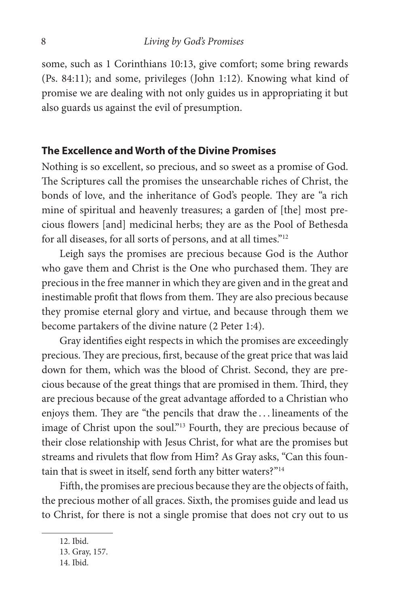some, such as 1 Corinthians 10:13, give comfort; some bring rewards (Ps. 84:11); and some, privileges (John 1:12). Knowing what kind of promise we are dealing with not only guides us in appropriating it but also guards us against the evil of presumption.

#### **The Excellence and Worth of the Divine Promises**

Nothing is so excellent, so precious, and so sweet as a promise of God. The Scriptures call the promises the unsearchable riches of Christ, the bonds of love, and the inheritance of God's people. They are "a rich mine of spiritual and heavenly treasures; a garden of [the] most precious flowers [and] medicinal herbs; they are as the Pool of Bethesda for all diseases, for all sorts of persons, and at all times."12

Leigh says the promises are precious because God is the Author who gave them and Christ is the One who purchased them. They are precious in the free manner in which they are given and in the great and inestimable profit that flows from them. They are also precious because they promise eternal glory and virtue, and because through them we become partakers of the divine nature (2 Peter 1:4).

Gray identifies eight respects in which the promises are exceedingly precious. They are precious, first, because of the great price that was laid down for them, which was the blood of Christ. Second, they are precious because of the great things that are promised in them. Third, they are precious because of the great advantage afforded to a Christian who enjoys them. They are "the pencils that draw the ... lineaments of the image of Christ upon the soul."<sup>13</sup> Fourth, they are precious because of their close relationship with Jesus Christ, for what are the promises but streams and rivulets that flow from Him? As Gray asks, "Can this fountain that is sweet in itself, send forth any bitter waters?"<sup>14</sup>

Fifth, the promises are precious because they are the objects of faith, the precious mother of all graces. Sixth, the promises guide and lead us to Christ, for there is not a single promise that does not cry out to us

<sup>12.</sup> Ibid.

<sup>13.</sup> Gray, 157.

<sup>14.</sup> Ibid.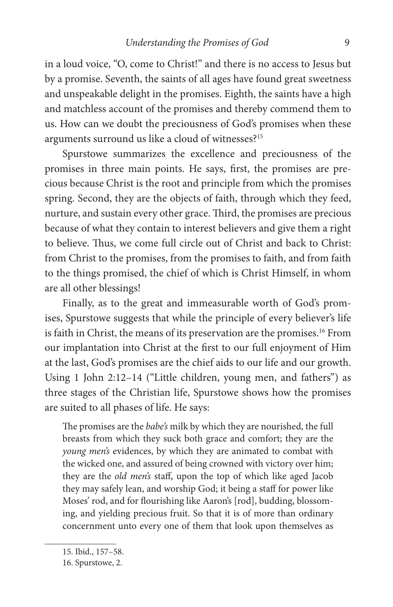in a loud voice, "O, come to Christ!" and there is no access to Jesus but by a promise. Seventh, the saints of all ages have found great sweetness and unspeakable delight in the promises. Eighth, the saints have a high and matchless account of the promises and thereby commend them to us. How can we doubt the preciousness of God's promises when these arguments surround us like a cloud of witnesses?15

Spurstowe summarizes the excellence and preciousness of the promises in three main points. He says, first, the promises are precious because Christ is the root and principle from which the promises spring. Second, they are the objects of faith, through which they feed, nurture, and sustain every other grace. Third, the promises are precious because of what they contain to interest believers and give them a right to believe. Thus, we come full circle out of Christ and back to Christ: from Christ to the promises, from the promises to faith, and from faith to the things promised, the chief of which is Christ Himself, in whom are all other blessings!

Finally, as to the great and immeasurable worth of God's promises, Spurstowe suggests that while the principle of every believer's life is faith in Christ, the means of its preservation are the promises.<sup>16</sup> From our implantation into Christ at the first to our full enjoyment of Him at the last, God's promises are the chief aids to our life and our growth. Using 1 John 2:12–14 ("Little children, young men, and fathers") as three stages of the Christian life, Spurstowe shows how the promises are suited to all phases of life. He says:

The promises are the babe's milk by which they are nourished, the full breasts from which they suck both grace and comfort; they are the young men's evidences, by which they are animated to combat with the wicked one, and assured of being crowned with victory over him; they are the old men's staff, upon the top of which like aged Jacob they may safely lean, and worship God; it being a staff for power like Moses' rod, and for flourishing like Aaron's [rod], budding, blossoming, and yielding precious fruit. So that it is of more than ordinary concernment unto every one of them that look upon themselves as

<sup>15.</sup> Ibid., 157–58.

<sup>16.</sup> Spurstowe, 2.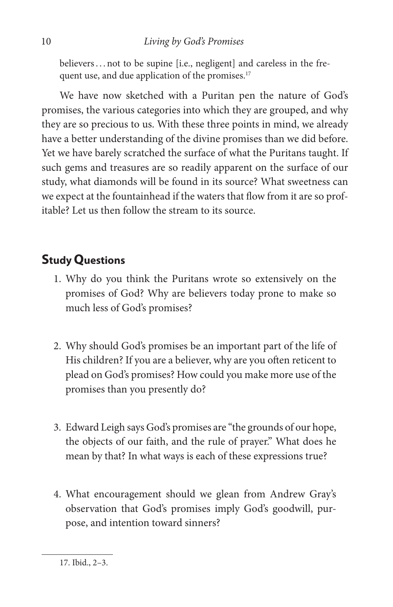believers . . . not to be supine [i.e., negligent] and careless in the frequent use, and due application of the promises.<sup>17</sup>

We have now sketched with a Puritan pen the nature of God's promises, the various categories into which they are grouped, and why they are so precious to us. With these three points in mind, we already have a better understanding of the divine promises than we did before. Yet we have barely scratched the surface of what the Puritans taught. If such gems and treasures are so readily apparent on the surface of our study, what diamonds will be found in its source? What sweetness can we expect at the fountainhead if the waters that flow from it are so profitable? Let us then follow the stream to its source.

### **Study Questions**

- 1. Why do you think the Puritans wrote so extensively on the promises of God? Why are believers today prone to make so much less of God's promises?
- 2. Why should God's promises be an important part of the life of His children? If you are a believer, why are you often reticent to plead on God's promises? How could you make more use of the promises than you presently do?
- 3. Edward Leigh says God's promises are "the grounds of our hope, the objects of our faith, and the rule of prayer." What does he mean by that? In what ways is each of these expressions true?
- 4. What encouragement should we glean from Andrew Gray's observation that God's promises imply God's goodwill, purpose, and intention toward sinners?

<sup>17.</sup> Ibid., 2–3.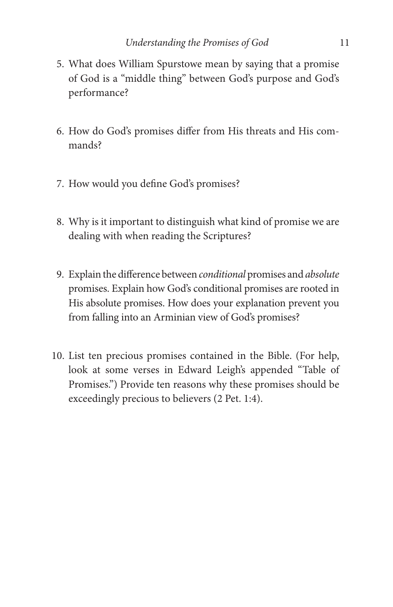- 5. What does William Spurstowe mean by saying that a promise of God is a "middle thing" between God's purpose and God's performance?
- 6. How do God's promises differ from His threats and His commands?
- 7. How would you define God's promises?
- 8. Why is it important to distinguish what kind of promise we are dealing with when reading the Scriptures?
- 9. Explain the difference between conditional promises and absolute promises. Explain how God's conditional promises are rooted in His absolute promises. How does your explanation prevent you from falling into an Arminian view of God's promises?
- 10. List ten precious promises contained in the Bible. (For help, look at some verses in Edward Leigh's appended "Table of Promises.") Provide ten reasons why these promises should be exceedingly precious to believers (2 Pet. 1:4).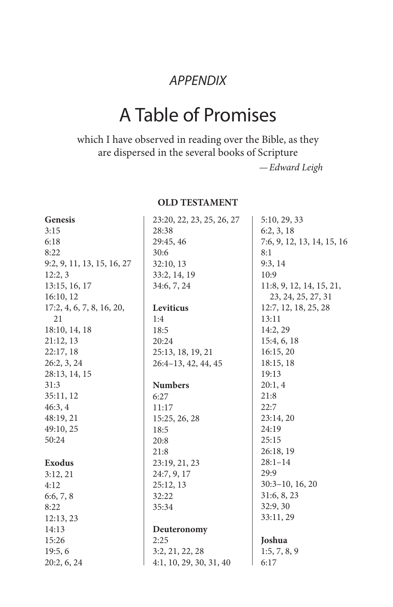### APPENDIX

## A Table of Promises

which I have observed in reading over the Bible, as they are dispersed in the several books of Scripture

—Edward Leigh

#### **OLD TESTAMENT**

| <b>Genesis</b>             | 23:20, 22, 23, 25, 26, 27 | 5:10, 29, 33               |
|----------------------------|---------------------------|----------------------------|
| 3:15                       | 28:38                     | 6:2, 3, 18                 |
| 6:18                       | 29:45, 46                 | 7:6, 9, 12, 13, 14, 15, 16 |
| 8:22                       | 30:6                      | 8:1                        |
| 9:2, 9, 11, 13, 15, 16, 27 | 32:10, 13                 | 9:3, 14                    |
| 12:2,3                     | 33:2, 14, 19              | 10:9                       |
| 13:15, 16, 17              | 34:6, 7, 24               | 11:8, 9, 12, 14, 15, 21,   |
| 16:10, 12                  |                           | 23, 24, 25, 27, 31         |
| 17:2, 4, 6, 7, 8, 16, 20,  | Leviticus                 | 12:7, 12, 18, 25, 28       |
| 21                         | 1:4                       | 13:11                      |
| 18:10, 14, 18              | 18:5                      | 14:2, 29                   |
| 21:12,13                   | 20:24                     | 15:4, 6, 18                |
| 22:17, 18                  | 25:13, 18, 19, 21         | 16:15,20                   |
| 26:2, 3, 24                | $26:4-13, 42, 44, 45$     | 18:15, 18                  |
| 28:13, 14, 15              |                           | 19:13                      |
| 31:3                       | <b>Numbers</b>            | 20:1, 4                    |
| 35:11, 12                  | 6:27                      | 21:8                       |
| 46:3, 4                    | 11:17                     | 22:7                       |
| 48:19, 21                  | 15:25, 26, 28             | 23:14,20                   |
| 49:10, 25                  | 18:5                      | 24:19                      |
| 50:24                      | 20:8                      | 25:15                      |
|                            | 21:8                      | 26:18, 19                  |
| <b>Exodus</b>              | 23:19, 21, 23             | $28:1 - 14$                |
| 3:12,21                    | 24:7, 9, 17               | 29:9                       |
| 4:12                       | 25:12, 13                 | $30:3-10$ , 16, 20         |
| 6:6, 7, 8                  | 32:22                     | 31:6, 8, 23                |
| 8:22                       | 35:34                     | 32:9,30                    |
| 12:13,23                   |                           | 33:11, 29                  |
| 14:13                      | Deuteronomy               |                            |
| 15:26                      | 2:25                      | Joshua                     |
| 19:5,6                     | 3:2, 21, 22, 28           | 1:5, 7, 8, 9               |
| 20:2, 6, 24                | 4:1, 10, 29, 30, 31, 40   | 6:17                       |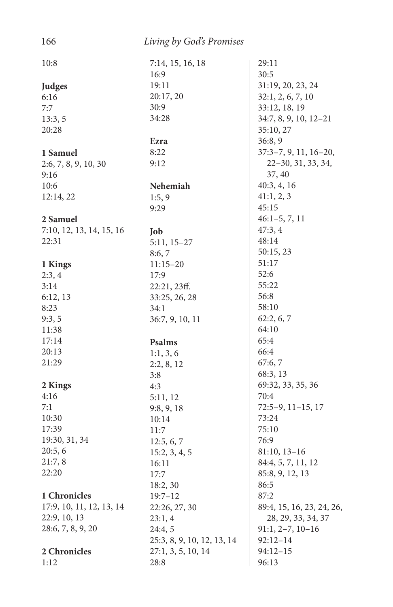| 166                      | Living by God's Promises   |                           |
|--------------------------|----------------------------|---------------------------|
| 10:8                     | 7:14, 15, 16, 18           | 29:11                     |
|                          | 16:9                       | 30:5                      |
| Judges                   | 19:11                      | 31:19, 20, 23, 24         |
| 6:16                     | 20:17, 20                  | 32:1, 2, 6, 7, 10         |
| 7:7                      | 30:9                       | 33:12, 18, 19             |
| 13:3, 5                  | 34:28                      | $34:7, 8, 9, 10, 12-21$   |
| 20:28                    |                            | 35:10, 27                 |
|                          | Ezra                       | 36:8,9                    |
| 1 Samuel                 | 8:22                       | $37:3-7, 9, 11, 16-20,$   |
| 2:6, 7, 8, 9, 10, 30     | 9:12                       | 22-30, 31, 33, 34,        |
| 9:16                     |                            | 37, 40                    |
| 10:6                     | Nehemiah                   | 40:3, 4, 16               |
|                          |                            | 41:1, 2, 3                |
| 12:14, 22                | 1:5, 9                     | 45:15                     |
| 2 Samuel                 | 9:29                       | $46:1-5, 7, 11$           |
|                          |                            | 47:3,4                    |
| 7:10, 12, 13, 14, 15, 16 | Job                        | 48:14                     |
| 22:31                    | $5:11, 15-27$              | 50:15, 23                 |
|                          | 8:6,7                      |                           |
| 1 Kings                  | $11:15 - 20$               | 51:17                     |
| 2:3,4                    | 17:9                       | 52:6                      |
| 3:14                     | 22:21,23ff.                | 55:22                     |
| 6:12, 13                 | 33:25, 26, 28              | 56:8                      |
| 8:23                     | 34:1                       | 58:10                     |
| 9:3,5                    | 36:7, 9, 10, 11            | 62:2, 6, 7                |
| 11:38                    |                            | 64:10                     |
| 17:14                    | Psalms                     | 65:4                      |
| 20:13                    | 1:1, 3, 6                  | 66:4                      |
| 21:29                    | 2:2, 8, 12                 | 67:6,7                    |
|                          | 3:8                        | 68:3, 13                  |
| 2 Kings                  | 4:3                        | 69:32, 33, 35, 36         |
| 4:16                     | 5:11,12                    | 70:4                      |
| 7:1                      | 9:8, 9, 18                 | $72:5-9$ , $11-15$ , 17   |
| 10:30                    | 10:14                      | 73:24                     |
| 17:39                    | 11:7                       | 75:10                     |
| 19:30, 31, 34            | 12:5, 6, 7                 | 76:9                      |
| 20:5, 6                  | 15:2, 3, 4, 5              | $81:10, 13-16$            |
| 21:7,8                   | 16:11                      | 84:4, 5, 7, 11, 12        |
| 22:20                    | 17:7                       | 85:8, 9, 12, 13           |
|                          | 18:2, 30                   | 86:5                      |
| 1 Chronicles             | $19:7 - 12$                | 87:2                      |
| 17:9, 10, 11, 12, 13, 14 | 22:26, 27, 30              | 89:4, 15, 16, 23, 24, 26, |
| 22:9, 10, 13             | 23:1,4                     | 28, 29, 33, 34, 37        |
| 28:6, 7, 8, 9, 20        | 24:4, 5                    | $91:1, 2-7, 10-16$        |
|                          | 25:3, 8, 9, 10, 12, 13, 14 | $92:12 - 14$              |
| 2 Chronicles             | 27:1, 3, 5, 10, 14         | $94:12-15$                |
| 1:12                     | 28:8                       | 96:13                     |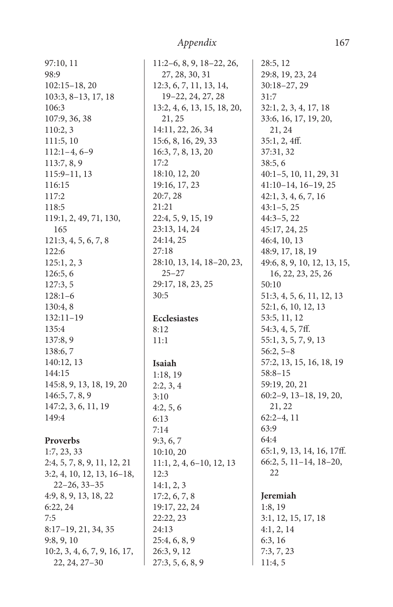| 97:10, 11                    | $11:2-6$      |
|------------------------------|---------------|
| 98:9                         | 27, 2         |
| $102:15-18,20$               | 12:3, 6       |
| 103:3, 8-13, 17, 18          | $19-2$        |
| 106:3                        | 13:2, 4       |
| 107:9, 36, 38                | 21, 2         |
| 110:2, 3                     | 14:11,        |
| 111:5, 10                    | 15:6, 8       |
| $112:1-4, 6-9$               | 16:3,7        |
| 113:7, 8, 9                  | 17:2          |
| 115:9-11, 13                 | 18:10,        |
| 116:15                       | 19:16,        |
| 117:2                        | 20:7, 2       |
| 118:5                        | 21:21         |
| 119:1, 2, 49, 71, 130,       | 22:4, 5       |
| 165                          | 23:13,        |
| 121:3, 4, 5, 6, 7, 8         | 24:14,        |
| 122:6                        | 27:18         |
| 125:1, 2, 3                  | 28:10,        |
| 126:5, 6                     | $25 - 2$      |
| 127:3, 5                     | 29:17,        |
| $128:1-6$                    | 30:5          |
| 130:4, 8                     |               |
| 132:11-19                    | <b>Eccles</b> |
| 135:4                        | 8:12          |
| 137:8, 9                     | 11:1          |
| 138:6, 7                     |               |
| 140:12, 13                   | Isaiah        |
| 144:15                       | 1:18, 1       |
| 145:8, 9, 13, 18, 19, 20     | 2:2, 3,       |
| 146:5, 7, 8, 9               | 3:10          |
| 147:2, 3, 6, 11, 19          | 4:2, 5,       |
| 149:4                        | 6:13          |
|                              | 7:14          |
| <b>Proverbs</b>              | 9:3, 6,       |
| 1:7, 23, 33                  | 10:10,        |
| 2:4, 5, 7, 8, 9, 11, 12, 21  | 11:1,2        |
| 3:2, 4, 10, 12, 13, 16-18,   | 12:3          |
| $22 - 26, 33 - 35$           | 14:1, 2       |
| 4:9, 8, 9, 13, 18, 22        | 17:2,6        |
| 6:22, 24                     | 19:17,        |
| 7:5                          | 22:22,        |
| 8:17-19, 21, 34, 35          | 24:13         |
| 9:8, 9, 10                   | 25:4, 6       |
| 10:2, 3, 4, 6, 7, 9, 16, 17, | 26:3, 9       |
| 22, 24, 27-30                | 27:3,5        |

 $:2-6, 8, 9, 18-22, 26,$ 27, 28, 30, 31 12:3, 6, 7, 11, 13, 14, 19–22, 24, 27, 28 13:2, 4, 6, 13, 15, 18, 20, 21, 25  $: 11, 22, 26, 34$ 15:6, 8, 16, 29, 33 16:3, 7, 8, 13, 20 18:10, 12, 20 19:16, 17, 23  $28:7,28$  $:4, 5, 9, 15, 19$ 23:13, 14, 24 24:14, 25  $23, 14, 18-20, 23,$ 25–27  $217, 18, 23, 25$ **Ecclesiastes** 18, 19 2:2, 3, 4 4:2, 5, 6 9:3, 6, 7  $:10, 20$  $:1, 2, 4, 6-10, 12, 13$  $: 1, 2, 3$  $12, 6, 7, 8$ 19:17, 22, 24 22:22, 23  $:4, 6, 8, 9$  $6:3, 9, 12$  $2:3, 5, 6, 8, 9$ 31:7 63:9 64:4 **Jeremiah**

28:5, 12 29:8, 19, 23, 24 30:18–27, 29 32:1, 2, 3, 4, 17, 18 33:6, 16, 17, 19, 20, 21, 24  $35:1, 2, 4ff.$ 37:31, 32 38:5, 6 40:1–5, 10, 11, 29, 31 41:10–14, 16–19, 25 42:1, 3, 4, 6, 7, 16 43:1–5, 25 44:3–5, 22 45:17, 24, 25 46:4, 10, 13 48:9, 17, 18, 19 49:6, 8, 9, 10, 12, 13, 15, 16, 22, 23, 25, 26 50:10 51:3, 4, 5, 6, 11, 12, 13 52:1, 6, 10, 12, 13 53:5, 11, 12 54:3, 4, 5, 7ff. 55:1, 3, 5, 7, 9, 13 56:2, 5–8 57:2, 13, 15, 16, 18, 19 58:8–15 59:19, 20, 21 60:2–9, 13–18, 19, 20, 21, 22 62:2–4, 11 65:1, 9, 13, 14, 16, 17ff. 66:2, 5, 11–14, 18–20, 22

#### 1:8, 19 3:1, 12, 15, 17, 18 4:1, 2, 14 6:3, 16 7:3, 7, 23 11:4, 5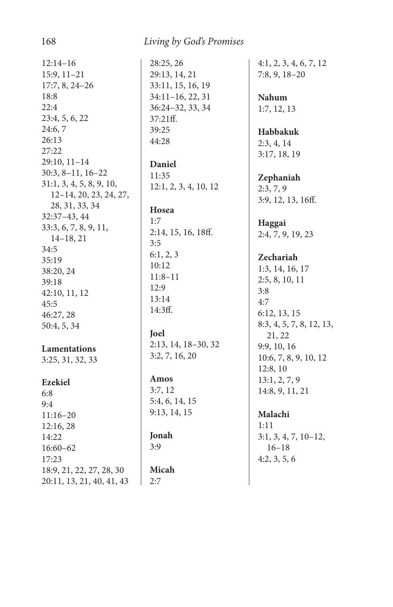12:14–16 15:9, 11–21 17:7, 8, 24–26 18:8 22:4 23:4, 5, 6, 22 24:6, 7 26:13 27:22 29:10, 11–14 30:3, 8–11, 16–22 31:1, 3, 4, 5, 8, 9, 10, 12–14, 20, 23, 24, 27, 28, 31, 33, 34 32:37–43, 44 33:3, 6, 7, 8, 9, 11, 14–18, 21 34:5 35:19 38:20, 24 39:18 42:10, 11, 12 45:5 46:27, 28 50:4, 5, 34

#### **Lamentations**

3:25, 31, 32, 33

#### **Ezekiel**

6:8 9:4 11:16–20 12:16, 28 14:22 16:60–62 17:23 18:9, 21, 22, 27, 28, 30 20:11, 13, 21, 40, 41, 43 28:25, 26 29:13, 14, 21 33:11, 15, 16, 19 34:11–16, 22, 31 36:24–32, 33, 34 37:21ff. 39:25 44:28

**Daniel** 11:35 12:1, 2, 3, 4, 10, 12

#### **Hosea**

1:7 2:14, 15, 16, 18ff. 3:5 6:1, 2, 3 10:12 11:8–11 12:9 13:14 14:3ff.

**Joel**

2:13, 14, 18–30, 32 3:2, 7, 16, 20

**Amos** 3:7, 12

5:4, 6, 14, 15 9:13, 14, 15

**Jonah** 3:9

**Micah** 2:7

4:1, 2, 3, 4, 6, 7, 12 7:8, 9, 18–20

**Nahum** 1:7, 12, 13

**Habbakuk** 2:3, 4, 14 3:17, 18, 19

**Zephaniah** 2:3, 7, 9 3:9, 12, 13, 16ff.

**Haggai** 2:4, 7, 9, 19, 23

#### **Zechariah**

1:3, 14, 16, 17 2:5, 8, 10, 11 3:8 4:7 6:12, 13, 15 8:3, 4, 5, 7, 8, 12, 13, 21, 22 9:9, 10, 16 10:6, 7, 8, 9, 10, 12 12:8, 10 13:1, 2, 7, 9 14:8, 9, 11, 21

**Malachi**

1:11 3:1, 3, 4, 7, 10–12, 16–18 4:2, 3, 5, 6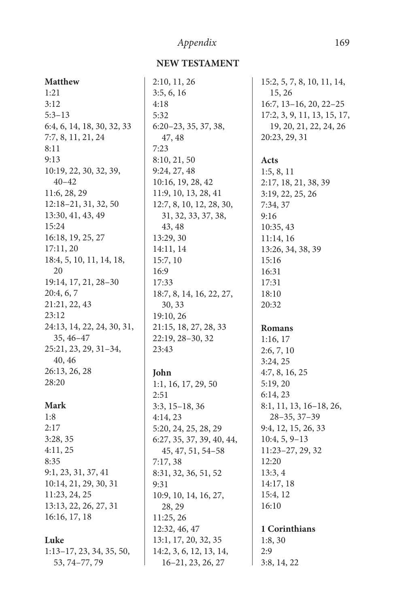#### **NEW TESTAMENT**

| Matthew                    | 2:1 |
|----------------------------|-----|
| 1:21                       | 3:5 |
| 3:12                       | 4:1 |
| $5:3 - 13$                 | 5:3 |
| 6:4, 6, 14, 18, 30, 32, 33 | 6:2 |
| 7:7, 8, 11, 21, 24         |     |
| 8:11                       | 7:2 |
| 9:13                       | 8:1 |
| 10:19, 22, 30, 32, 39,     | 9:2 |
| $40 - 42$                  | 10  |
| 11:6, 28, 29               | 11  |
| 12:18-21, 31, 32, 50       | 12  |
| 13:30, 41, 43, 49          |     |
| 15:24                      |     |
| 16:18, 19, 25, 27          | 13  |
| 17:11, 20                  | 14  |
| 18:4, 5, 10, 11, 14, 18,   | 15  |
| 20                         | 16  |
| 19:14, 17, 21, 28-30       | 17  |
| 20:4, 6, 7                 | 18  |
| 21:21, 22, 43              |     |
| 23:12                      | 19  |
| 24:13, 14, 22, 24, 30, 31, | 21  |
| 35, 46-47                  | 22  |
| 25:21, 23, 29, 31-34,      | 23  |
| 40, 46                     |     |
| 26:13, 26, 28              | Jol |
| 28:20                      | 1:1 |
|                            | 2:5 |
| Mark                       | 3:3 |
| 1:8                        | 4:1 |
| 2:17                       | 5:2 |
| 3:28, 35                   | 6:2 |
| 4:11,25                    |     |
| 8:35                       | 7:1 |
| 9:1, 23, 31, 37, 41        | 8:3 |
| 10:14, 21, 29, 30, 31      | 9:3 |
| 11:23, 24, 25              | 10  |
| 13:13, 22, 26, 27, 31      |     |
| 16:16, 17, 18              | 11  |
|                            | 12  |
| Luke                       | 13  |

1:13–17, 23, 34, 35, 50, 53, 74–77, 79

2:10, 11, 26 3:5, 6, 16 4:18 32 6:20–23, 35, 37, 38, 47, 48 7:23 8:10, 21, 50 24, 27, 48 10:16, 19, 28, 42 11:9, 10, 13, 28, 41 12:7, 8, 10, 12, 28, 30, 31, 32, 33, 37, 38, 43, 48  $:29, 30$ 14:11, 14  $5:7, 10$ 16:9  $^{\prime}$ :33 18:7, 8, 14, 16, 22, 27, 30, 33  $9:10, 26$ 21:15, 18, 27, 28, 33  $2:19, 28-30, 32$ 23:43

#### **John**

1:1, 16, 17, 29, 50 2:51 3:3, 15–18, 36 4:14, 23 5:20, 24, 25, 28, 29 6:27, 35, 37, 39, 40, 44, 45, 47, 51, 54–58 7:17, 38 8:31, 32, 36, 51, 52 31 10:9, 10, 14, 16, 27, 28, 29  $:25, 26$ 12:32, 46, 47 13:1, 17, 20, 32, 35 14:2, 3, 6, 12, 13, 14, 16–21, 23, 26, 27

15:2, 5, 7, 8, 10, 11, 14, 15, 26 16:7, 13–16, 20, 22–25 17:2, 3, 9, 11, 13, 15, 17, 19, 20, 21, 22, 24, 26 20:23, 29, 31

#### **Acts**

1:5, 8, 11 2:17, 18, 21, 38, 39 3:19, 22, 25, 26 7:34, 37 9:16 10:35, 43 11:14, 16 13:26, 34, 38, 39 15:16 16:31 17:31 18:10 20:32

#### **Romans**

1:16, 17 2:6, 7, 10 3:24, 25 4:7, 8, 16, 25 5:19, 20 6:14, 23 8:1, 11, 13, 16–18, 26, 28–35, 37–39 9:4, 12, 15, 26, 33 10:4, 5, 9–13 11:23–27, 29, 32 12:20 13:3, 4 14:17, 18 15:4, 12 16:10

#### **1 Corinthians** 1:8, 30

2:9 3:8, 14, 22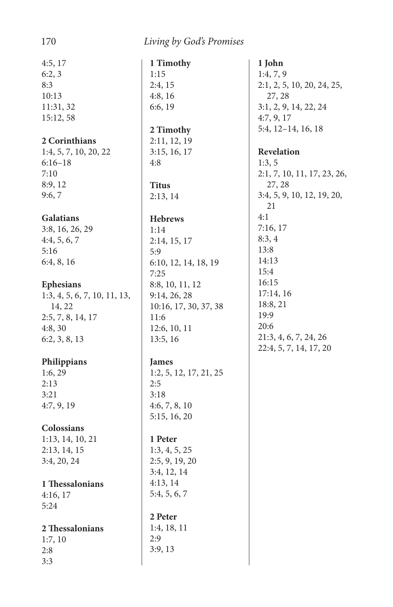4:5, 17 6:2, 3 8:3 10:13 11:31, 32 15:12, 58

#### **2 Corinthians**

1:4, 5, 7, 10, 20, 22 6:16–18 7:10 8:9, 12 9:6, 7

#### **Galatians**

3:8, 16, 26, 29 4:4, 5, 6, 7 5:16 6:4, 8, 16

#### **Ephesians**

1:3, 4, 5, 6, 7, 10, 11, 13, 14, 22 2:5, 7, 8, 14, 17 4:8, 30 6:2, 3, 8, 13

#### **Philippians**

1:6, 29 2:13 3:21 4:7, 9, 19

#### **Colossians**

1:13, 14, 10, 21 2:13, 14, 15 3:4, 20, 24

#### **1 Thessalonians**

4:16, 17 5:24

#### 2 Thessalonians

1:7, 10  $2:8$ 3:3

**1 Timothy** 1:15 2:4, 15 4:8, 16 6:6, 19 **2 Timothy** 2:11, 12, 19 3:15, 16, 17

#### **Titus** 2:13, 14

4:8

#### **Hebrews**

1:14 2:14, 15, 17 5:9 6:10, 12, 14, 18, 19 7:25 8:8, 10, 11, 12 9:14, 26, 28 10:16, 17, 30, 37, 38 11:6 12:6, 10, 11 13:5, 16

#### **James**

1:2, 5, 12, 17, 21, 25 2:5 3:18 4:6, 7, 8, 10 5:15, 16, 20

#### **1 Peter**

1:3, 4, 5, 25 2:5, 9, 19, 20 3:4, 12, 14 4:13, 14 5:4, 5, 6, 7

**2 Peter** 1:4, 18, 11 2:9 3:9, 13

**1 John** 1:4, 7, 9 2:1, 2, 5, 10, 20, 24, 25, 27, 28 3:1, 2, 9, 14, 22, 24 4:7, 9, 17 5:4, 12–14, 16, 18

#### **Revelation**

1:3, 5 2:1, 7, 10, 11, 17, 23, 26, 27, 28 3:4, 5, 9, 10, 12, 19, 20, 21 4:1 7:16, 17 8:3, 4 13:8 14:13 15:4 16:15 17:14, 16 18:8, 21 19:9 20:6 21:3, 4, 6, 7, 24, 26 22:4, 5, 7, 14, 17, 20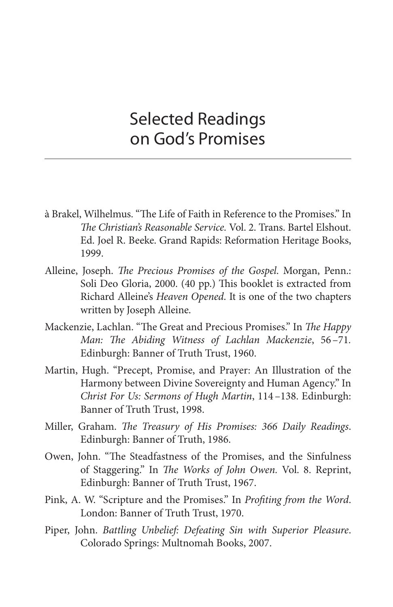## Selected Readings on God's Promises

- à Brakel, Wilhelmus. "The Life of Faith in Reference to the Promises." In The Christian's Reasonable Service. Vol. 2. Trans. Bartel Elshout. Ed. Joel R. Beeke. Grand Rapids: Reformation Heritage Books, 1999.
- Alleine, Joseph. The Precious Promises of the Gospel. Morgan, Penn.: Soli Deo Gloria, 2000. (40 pp.) This booklet is extracted from Richard Alleine's Heaven Opened. It is one of the two chapters written by Joseph Alleine.
- Mackenzie, Lachlan. "The Great and Precious Promises." In The Happy Man: The Abiding Witness of Lachlan Mackenzie, 56-71. Edinburgh: Banner of Truth Trust, 1960.
- Martin, Hugh. "Precept, Promise, and Prayer: An Illustration of the Harmony between Divine Sovereignty and Human Agency." In Christ For Us: Sermons of Hugh Martin, 114–138. Edinburgh: Banner of Truth Trust, 1998.
- Miller, Graham. The Treasury of His Promises: 366 Daily Readings. Edinburgh: Banner of Truth, 1986.
- Owen, John. "The Steadfastness of the Promises, and the Sinfulness of Staggering." In The Works of John Owen. Vol. 8. Reprint, Edinburgh: Banner of Truth Trust, 1967.
- Pink, A. W. "Scripture and the Promises." In Profiting from the Word. London: Banner of Truth Trust, 1970.
- Piper, John. Battling Unbelief: Defeating Sin with Superior Pleasure. Colorado Springs: Multnomah Books, 2007.